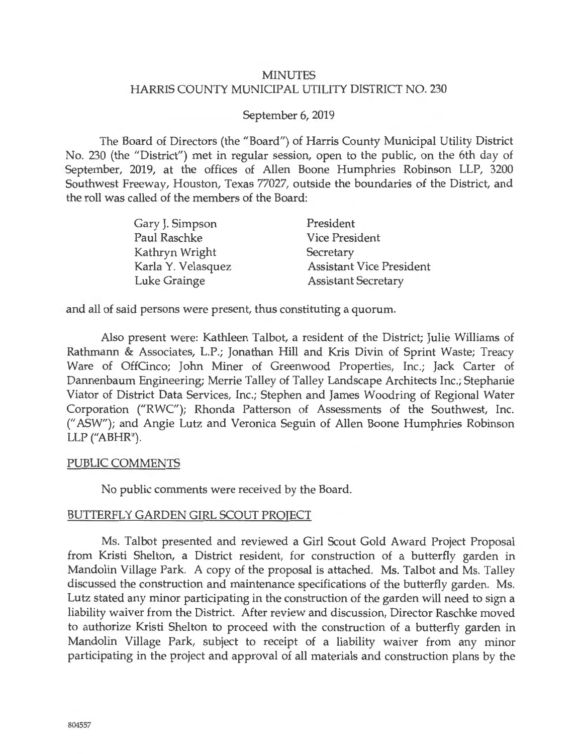#### MINUTES HARRIS COUNTY MUNICIPAL UTILITY DISTRICT NO. 230

#### September 6, 2019

The Board of Directors (the "Board") of Harris County Municipal Utility District No. 230 (the "District") met in regular session, open to the public, on the 6th day of September, 2019, at the offices of Allen Boone Humphries Robinson LLP, 3200 Southwest Freeway, Houston, Texas 77027, outside the boundaries of the District, and the roll was called of the members of the Board:

| Gary J. Simpson    | President                       |
|--------------------|---------------------------------|
| Paul Raschke       | <b>Vice President</b>           |
| Kathryn Wright     | Secretary                       |
| Karla Y. Velasquez | <b>Assistant Vice President</b> |
| Luke Grainge       | <b>Assistant Secretary</b>      |

and all of said persons were present, thus constituting a quorum.

Also present were: Kathleen Talbot, a resident of the District; Julie Williams of Rathmann & Associates, L.P.; Jonathan Hill and Kris Divin of Sprint Waste; Treacy Ware of OffCinco; John Miner of Greenwood Properties, Inc.; Jack Carter of Dannenbaum Engineering; Merrie Talley of Talley Landscape Architects Inc.; Stephanie Viator of District Data Services, Inc.; Stephen and James Woodring of Regional Water Corporation ("RWC"); Rhonda Patterson of Assessments of the Southwest, Inc. (" ASW"); and Angie Lutz and Veronica Seguin of Allen Boone Humphries Robinson LLP ("ABHR").

#### PUBLIC COMMENTS

No public comments were received by the Board.

#### BUTTERFLY GARDEN GIRL SCOUT PROJECT

Ms. Talbot presented and reviewed a Girl Scout Gold Award Project Proposal from Kristi Shelton, a District resident, for construction of a butterfly garden in Mandolin Village Park. A copy of the proposal is attached. Ms. Talbot and Ms. Talley discussed the construction and maintenance specifications of the butterfly garden. Ms. Lutz stated any minor participating in the construction of the garden will need to sign a liability waiver from the District. After review and discussion, Director Raschke moved to authorize Kristi Shelton to proceed with the construction of a butterfly garden in Mandolin Village Park, subject to receipt of a liability waiver from any minor participating in the project and approval of all materials and construction plans by the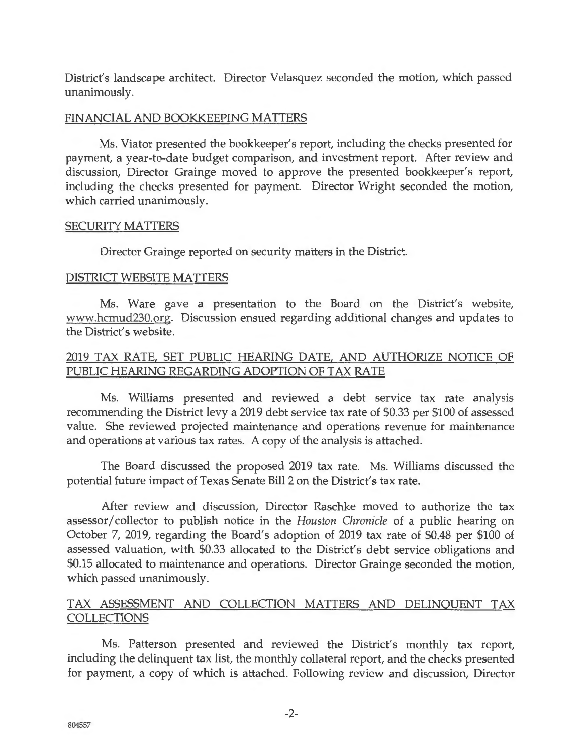District's landscape architect. Director Velasquez seconded the motion, which passed unanimous! y.

#### FINANCIAL AND BOOKKEEPING MATTERS

Ms. Viator presented the bookkeeper's report, including the checks presented for payment, a year-to-date budget comparison, and investment report. After review and discussion, Director Grainge moved to approve the presented bookkeeper's report, including the checks presented for payment. Director Wright seconded the motion, which carried unanimously.

#### SECURITY MATTERS

Director Grainge reported on security matters in the District.

#### DISTRICT WEBSITE MATTERS

Ms. Ware gave a presentation to the Board on the District's website, www.hcmud230.org. Discussion ensued regarding additional changes and updates to the District's website.

## 2019 TAX RATE, SET PUBLIC HEARING DATE, AND AUTHORIZE NOTICE OF PUBLIC HEARING REGARDING ADOPTION OF TAX RATE

Ms. Williams presented and reviewed a debt service tax rate analysis recommending the District levy a 2019 debt service tax rate of \$0.33 per \$100 of assessed value. She reviewed projected maintenance and operations revenue for maintenance and operations at various tax rates. A copy of the analysis is attached.

The Board discussed the proposed 2019 tax rate. Ms. Williams discussed the potential future impact of Texas Senate Bill 2 on the District's tax rate.

After review and discussion, Director Raschke moved to authorize the tax assessor/ collector to publish notice in the *Houston Chronicle* of a public hearing on October 7, 2019, regarding the Board's adoption of 2019 tax rate of \$0.48 per \$100 of assessed valuation, with \$0.33 allocated to the District's debt service obligations and \$0.15 allocated to maintenance and operations. Director Grainge seconded the motion, which passed unanimously.

## TAX ASSESSMENT AND COLLECTION MATTERS AND DELINQUENT TAX COLLECTIONS

Ms. Patterson presented and reviewed the District's monthly tax report, including the delinquent tax list, the monthly collateral report, and the checks presented for payment, a copy of which is attached. Following review and discussion, Director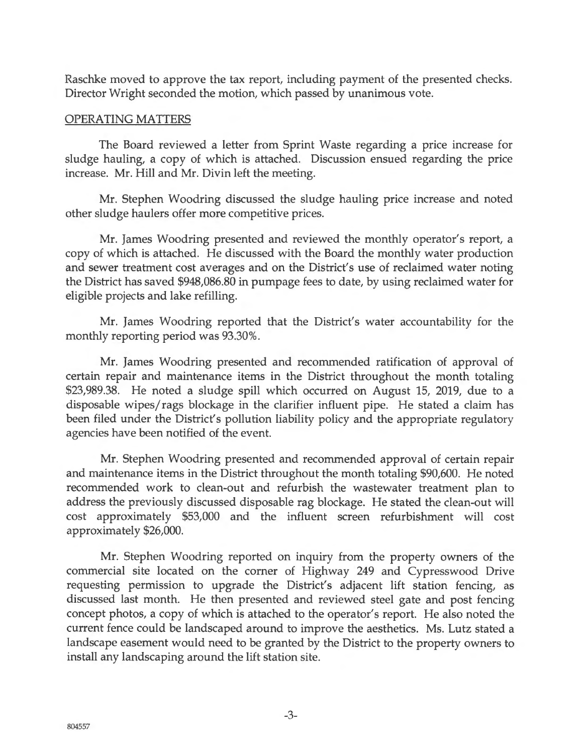Raschke moved to approve the tax report, including payment of the presented checks. Director Wright seconded the motion, which passed by unanimous vote.

#### OPERATING MATTERS

The Board reviewed a letter from Sprint Waste regarding a price increase for sludge hauling, a copy of which is attached. Discussion ensued regarding the price increase. Mr. Hill and Mr. Divin left the meeting.

Mr. Stephen Woodring discussed the sludge hauling price increase and noted other sludge haulers offer more competitive prices.

Mr. James Woodring presented and reviewed the monthly operator's report, a copy of which is attached. He discussed with the Board the monthly water production and sewer treatment cost averages and on the District's use of reclaimed water noting the District has saved \$948,086.80 in pumpage fees to date, by using reclaimed water for eligible projects and lake refilling.

Mr. James Woodring reported that the District's water accountability for the monthly reporting period was 93.30%.

Mr. James Woodring presented and recommended ratification of approval of certain repair and maintenance items in the District throughout the month totaling \$23,989.38. He noted a sludge spill which occurred on August 15, 2019, due to a disposable wipes/ rags blockage in the clarifier influent pipe. He stated a claim has been filed under the District's pollution liability policy and the appropriate regulatory agencies have been notified of the event.

Mr. Stephen Woodring presented and recommended approval of certain repair and maintenance items in the District throughout the month totaling \$90,600. He noted recommended work to clean-out and refurbish the wastewater treatment plan to address the previously discussed disposable rag blockage. He stated the clean-out will cost approximately \$53,000 and the influent screen refurbishment will cost approximately \$26,000.

Mr. Stephen Woodring reported on inquiry from the property owners of the commercial site located on the corner of Highway 249 and Cypresswood Drive requesting permission to upgrade the District's adjacent lift station fencing, as discussed last month. He then presented and reviewed steel gate and post fencing concept photos, a copy of which is attached to the operator's report. He also noted the current fence could be landscaped around to improve the aesthetics. Ms. Lutz stated a landscape easement would need to be granted by the District to the property owners to install any landscaping around the lift station site.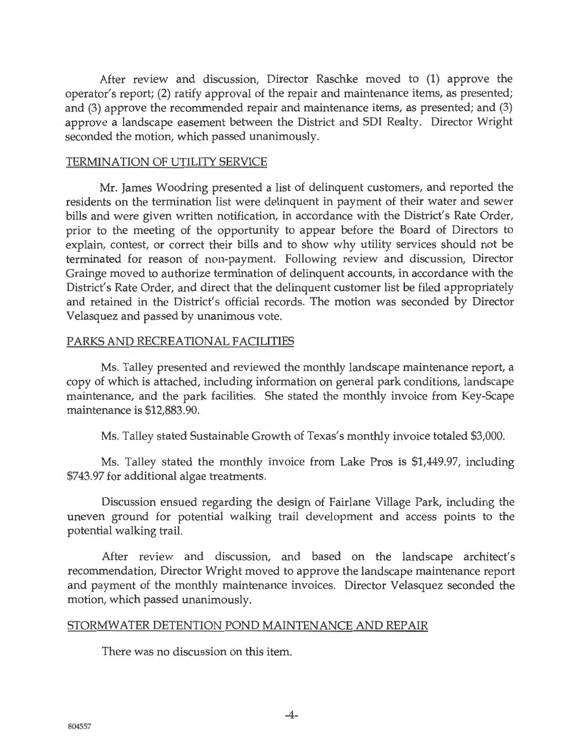After review and discussion, Director Raschke moved to (1) approve the operator's report; (2) ratify approval of the repair and maintenance items, as presented; and (3) approve the recommended repair and maintenance items, as presented; and (3) approve a landscape easement between the District and SDI Realty. Director Wright seconded the motion, which passed unanimously.

#### TERMINATION OF UTILITY SERVICE

Mr. James Woodring presented a list of delinquent customers, and reported the residents on the termination list were delinquent in payment of their water and sewer bills and were given written notification, in accordance with the District's Rate Order, prior to the meeting of the opportunity to appear before the Board of Directors to explain, contest, or correct their bills and to show why utility services should not be terminated for reason of non-payment. Following review and discussion, Director Grainge moved to authorize termination of delinquent accounts, in accordance with the District's Rate Order, and direct that the delinquent customer list be filed appropriately and retained in the District's official records. The motion was seconded by Director Velasquez and passed by unanimous vote.

#### PARKS AND RECREATIONAL FACILITIES

Ms. Talley presented and reviewed the monthly landscape maintenance report, a copy of which is attached, including information on general park conditions, landscape maintenance, and the park facilities. She stated the monthly invoice from Key-Scape maintenance is \$12,883.90.

Ms. Talley stated Sustainable Growth of Texas's monthly invoice totaled \$3,000.

Ms. Talley stated the monthly invoice from Lake Pros is \$1,449.97, including \$743.97 for additional algae treatments.

Discussion ensued regarding the design of Fairlane Village Park, including the uneven ground for potential walking trail development and access points to the potential walking trail.

After review and discussion, and based on the landscape architect's recommendation, Director Wright moved to approve the landscape maintenance report and payment of the monthly maintenance invoices. Director Velasquez seconded the motion, which passed unanimously.

#### <u>STORMWATER DETENTION POND MAINTENANCE AND REPAIR</u>

There was no discussion on this item.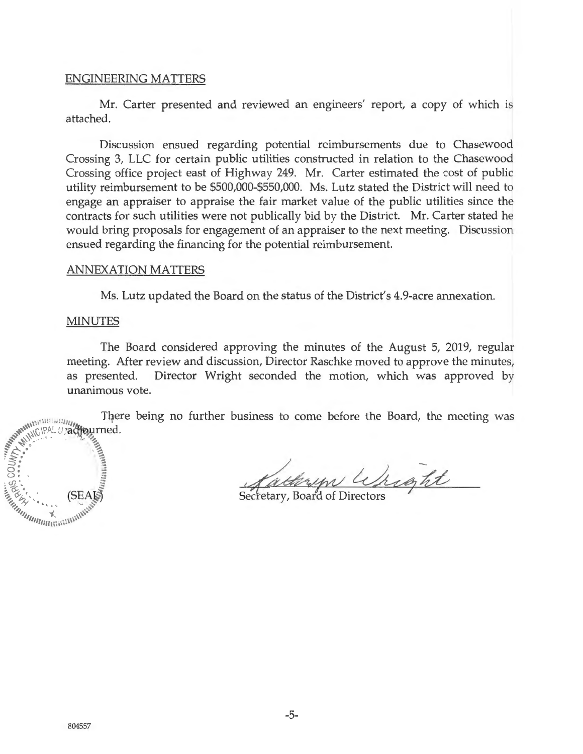#### ENGINEERING MATTERS

Mr. Carter presented and reviewed an engineers' report, a copy of which is attached.

Discussion ensued regarding potential reimbursements due to Chasewood Crossing 3, LLC for certain public utilities constructed in relation to the Chasewood Crossing office project east of Highway 249. Mr. Carter estimated the cost of public utility reimbursement to be \$500,000-\$550,000. Ms. Lutz stated the District will need to engage an appraiser to appraise the fair market value of the public utilities since the contracts for such utilities were not publically bid by the District. Mr. Carter stated he would bring proposals for engagement of an appraiser to the next meeting. Discussion ensued regarding the financing for the potential reimbursement.

#### ANNEXATION MATTERS

Ms. Lutz updated the Board on the status of the District's 4.9-acre annexation.

#### MINUTES

 $\Rightarrow$ :  $\Rightarrow$   $\Rightarrow$ < - (..), ' **E:** ~ ~ ~ :=

 $\frac{1}{2}$  (SEATS) *"''1.* . ~ "''' --;, \\\\ ... 11111m>\\\\~

The Board considered approving the minutes of the August 5, 2019, regular meeting. After review and discussion, Director Raschke moved to approve the minutes, as presented. Director Wright seconded the motion, which was approved by unanimous vote.

Ther<br>
www.ukicleal.*uradiourned.*<br>
<area. There being no further business to come before the Board, the meeting was

Cathryn Wright

Secretary, Board of Directors